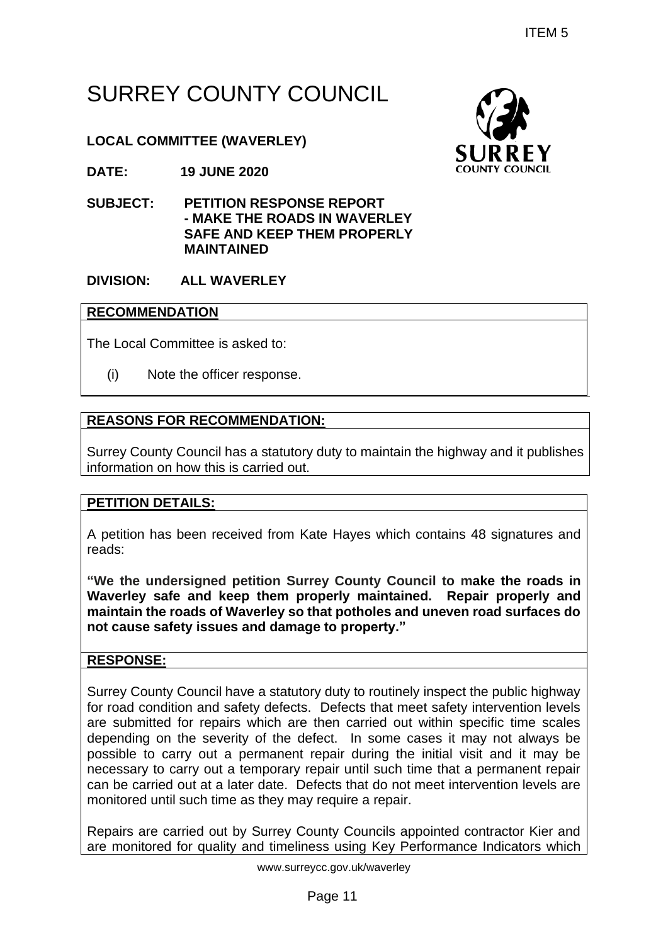# SURREY COUNTY COUNCIL

# **LOCAL COMMITTEE (WAVERLEY)**

**DATE: 19 JUNE 2020**

**SUBJECT: PETITION RESPONSE REPORT - MAKE THE ROADS IN WAVERLEY SAFE AND KEEP THEM PROPERLY MAINTAINED**

## **DIVISION: ALL WAVERLEY**

#### **RECOMMENDATION**

The Local Committee is asked to:

(i) Note the officer response.

## **REASONS FOR RECOMMENDATION:**

Surrey County Council has a statutory duty to maintain the highway and it publishes information on how this is carried out.

## **PETITION DETAILS:**

A petition has been received from Kate Hayes which contains 48 signatures and reads:

**"We the undersigned petition Surrey County Council to make the roads in Waverley safe and keep them properly maintained. Repair properly and maintain the roads of Waverley so that potholes and uneven road surfaces do not cause safety issues and damage to property."**

## **RESPONSE:**

Surrey County Council have a statutory duty to routinely inspect the public highway for road condition and safety defects. Defects that meet safety intervention levels are submitted for repairs which are then carried out within specific time scales depending on the severity of the defect. In some cases it may not always be possible to carry out a permanent repair during the initial visit and it may be necessary to carry out a temporary repair until such time that a permanent repair can be carried out at a later date. Defects that do not meet intervention levels are monitored until such time as they may require a repair. ITEM 5<br>
PUNCIL<br>
SUNCEREY<br>
SUNCEREY<br>
SUNCEREY<br>
SUNCEREY<br>
SUNCEREY<br>
HEM PROPERLY<br>
PEM PROPERLY<br>
PUNCEREY<br>
THEM PROPERLY<br>
SUNCEREY<br>
NOWER THEM PROPERLY<br>
THEM PROPERLY<br>
THEM PROPERLY<br>
THEM SUNCEREY<br>
THEM SUNCEREY<br>
THEM SUNCERE

Repairs are carried out by Surrey County Councils appointed contractor Kier and are monitored for quality and timeliness using Key Performance Indicators which